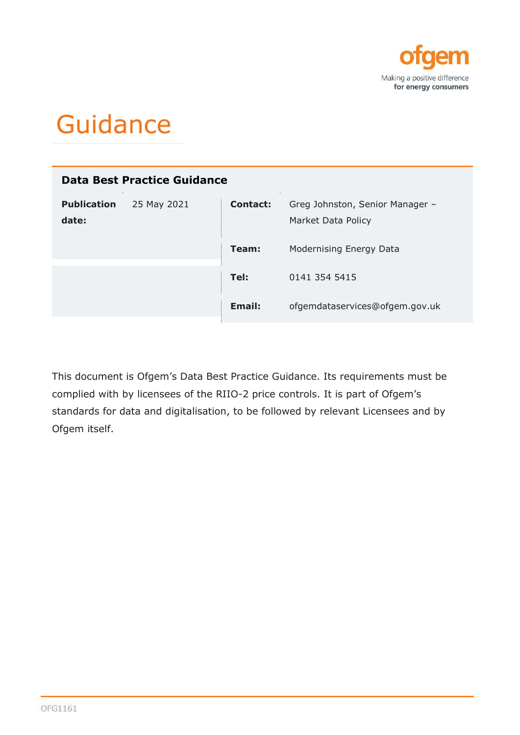

# Guidance

| Data Best Practice Guidance                |                 |                                                       |  |  |
|--------------------------------------------|-----------------|-------------------------------------------------------|--|--|
| <b>Publication</b><br>25 May 2021<br>date: | <b>Contact:</b> | Greg Johnston, Senior Manager -<br>Market Data Policy |  |  |
|                                            | Team:           | Modernising Energy Data                               |  |  |
|                                            | Tel:            | 0141 354 5415                                         |  |  |
|                                            | Email:          | ofgemdataservices@ofgem.gov.uk                        |  |  |

This document is Ofgem's Data Best Practice Guidance. Its requirements must be complied with by licensees of the RIIO-2 price controls. It is part of Ofgem's standards for data and digitalisation, to be followed by relevant Licensees and by Ofgem itself.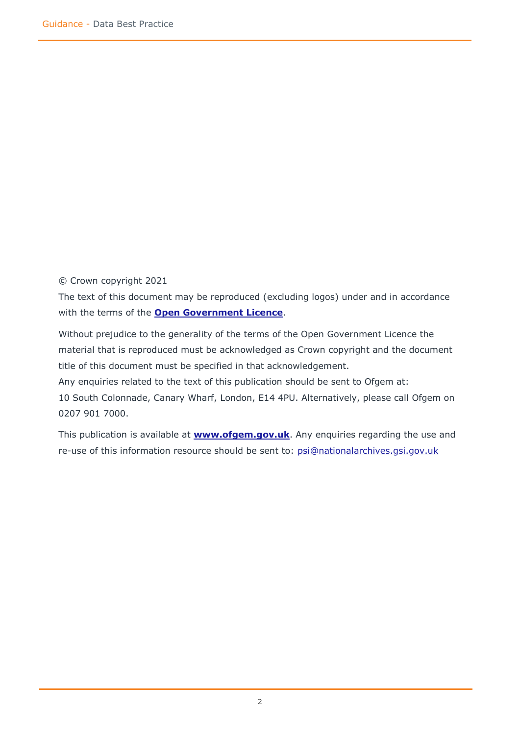© Crown copyright 2021

The text of this document may be reproduced (excluding logos) under and in accordance with the terms of the **[Open Government Licence](http://www.nationalarchives.gov.uk/doc/open-government-licence/version/3/)**.

Without prejudice to the generality of the terms of the Open Government Licence the material that is reproduced must be acknowledged as Crown copyright and the document title of this document must be specified in that acknowledgement. Any enquiries related to the text of this publication should be sent to Ofgem at:

10 South Colonnade, Canary Wharf, London, E14 4PU. Alternatively, please call Ofgem on 0207 901 7000.

This publication is available at **[www.ofgem.gov.uk](http://www.ofgem.gov.uk/)**. Any enquiries regarding the use and re-use of this information resource should be sent to: [psi@nationalarchives.gsi.gov.uk](mailto:psi@nationalarchives.gsi.gov.uk)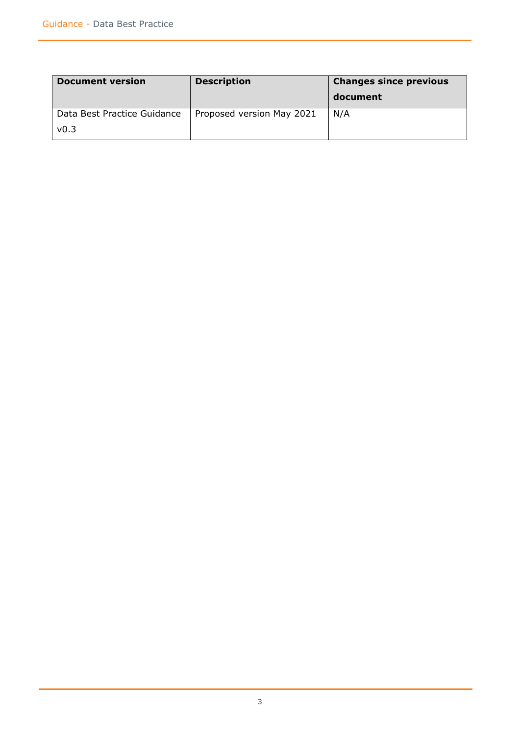| <b>Document version</b>     | <b>Description</b>        | <b>Changes since previous</b> |
|-----------------------------|---------------------------|-------------------------------|
|                             |                           | document                      |
| Data Best Practice Guidance | Proposed version May 2021 | N/A                           |
| v0.3                        |                           |                               |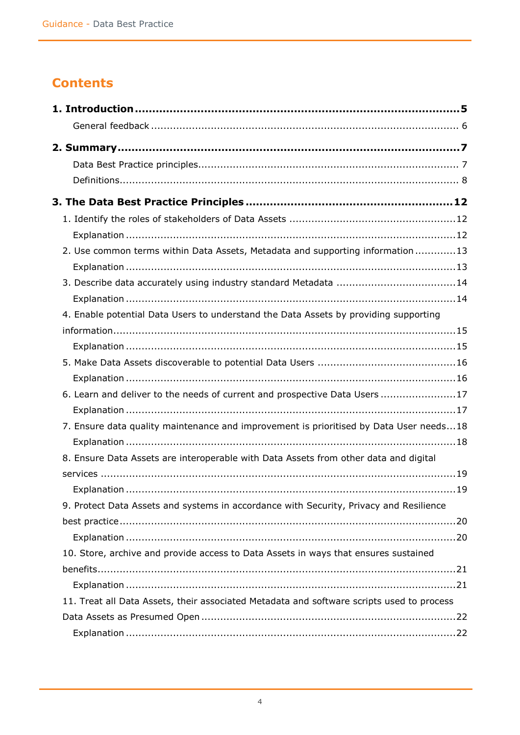## **Contents**

| 2. Use common terms within Data Assets, Metadata and supporting information13             |
|-------------------------------------------------------------------------------------------|
|                                                                                           |
|                                                                                           |
|                                                                                           |
| 4. Enable potential Data Users to understand the Data Assets by providing supporting      |
|                                                                                           |
|                                                                                           |
|                                                                                           |
|                                                                                           |
| 6. Learn and deliver to the needs of current and prospective Data Users 17                |
|                                                                                           |
| 7. Ensure data quality maintenance and improvement is prioritised by Data User needs18    |
|                                                                                           |
| 8. Ensure Data Assets are interoperable with Data Assets from other data and digital      |
|                                                                                           |
|                                                                                           |
| 9. Protect Data Assets and systems in accordance with Security, Privacy and Resilience    |
|                                                                                           |
|                                                                                           |
| 10. Store, archive and provide access to Data Assets in ways that ensures sustained       |
|                                                                                           |
|                                                                                           |
| 11. Treat all Data Assets, their associated Metadata and software scripts used to process |
|                                                                                           |
|                                                                                           |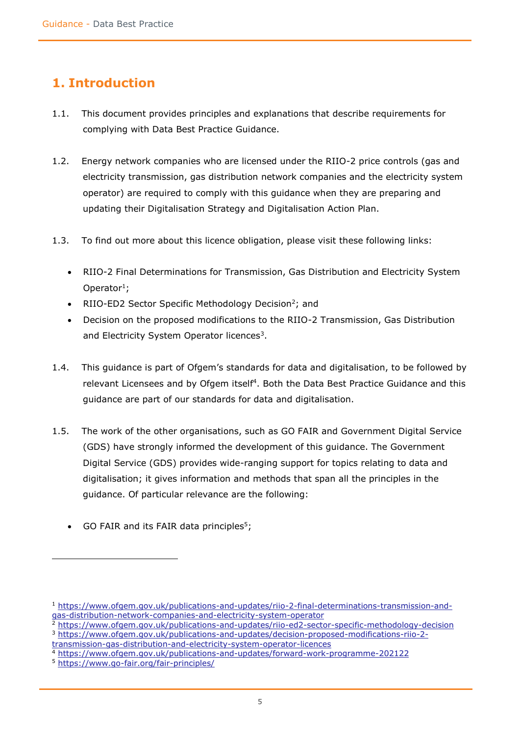### <span id="page-4-0"></span>**1. Introduction**

- 1.1. This document provides principles and explanations that describe requirements for complying with Data Best Practice Guidance.
- 1.2. Energy network companies who are licensed under the RIIO-2 price controls (gas and electricity transmission, gas distribution network companies and the electricity system operator) are required to comply with this guidance when they are preparing and updating their Digitalisation Strategy and Digitalisation Action Plan.
- 1.3. To find out more about this licence obligation, please visit these following links:
	- RIIO-2 Final Determinations for Transmission, Gas Distribution and Electricity System Operator<sup>1</sup>;
	- RIIO-ED2 Sector Specific Methodology Decision<sup>2</sup>; and
	- Decision on the proposed modifications to the RIIO-2 Transmission, Gas Distribution and Electricity System Operator licences<sup>3</sup>.
- 1.4. This guidance is part of Ofgem's standards for data and digitalisation, to be followed by relevant Licensees and by Ofgem itself<sup>4</sup>. Both the Data Best Practice Guidance and this guidance are part of our standards for data and digitalisation.
- 1.5. The work of the other organisations, such as GO FAIR and Government Digital Service (GDS) have strongly informed the development of this guidance. The Government Digital Service (GDS) provides wide-ranging support for topics relating to data and digitalisation; it gives information and methods that span all the principles in the guidance. Of particular relevance are the following:
	- GO FAIR and its FAIR data principles<sup>5</sup>;

<sup>1</sup> [https://www.ofgem.gov.uk/publications-and-updates/riio-2-final-determinations-transmission-and](https://www.ofgem.gov.uk/publications-and-updates/riio-2-final-determinations-transmission-and-gas-distribution-network-companies-and-electricity-system-operator)[gas-distribution-network-companies-and-electricity-system-operator](https://www.ofgem.gov.uk/publications-and-updates/riio-2-final-determinations-transmission-and-gas-distribution-network-companies-and-electricity-system-operator)

<sup>2</sup> <https://www.ofgem.gov.uk/publications-and-updates/riio-ed2-sector-specific-methodology-decision> <sup>3</sup> [https://www.ofgem.gov.uk/publications-and-updates/decision-proposed-modifications-riio-2-](https://www.ofgem.gov.uk/publications-and-updates/decision-proposed-modifications-riio-2-transmission-gas-distribution-and-electricity-system-operator-licences)

[transmission-gas-distribution-and-electricity-system-operator-licences](https://www.ofgem.gov.uk/publications-and-updates/decision-proposed-modifications-riio-2-transmission-gas-distribution-and-electricity-system-operator-licences)

<sup>4</sup> <https://www.ofgem.gov.uk/publications-and-updates/forward-work-programme-202122>

<sup>5</sup> <https://www.go-fair.org/fair-principles/>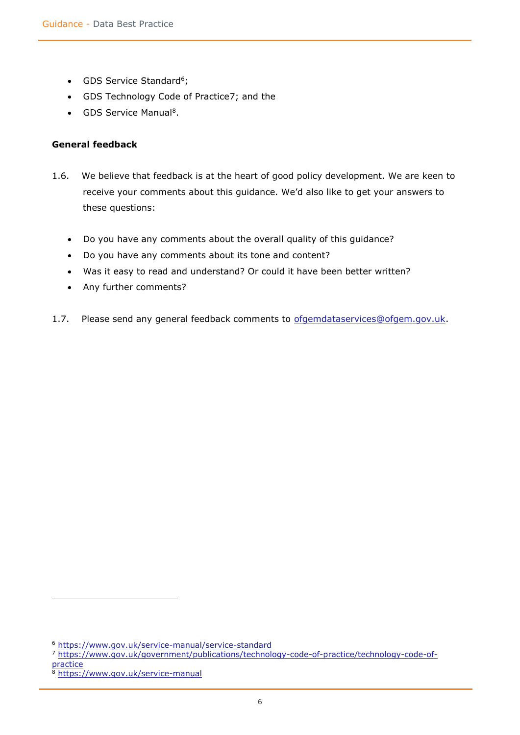- GDS Service Standard<sup>6</sup>;
- GDS Technology Code of Practice7; and the
- GDS Service Manual<sup>8</sup>.

#### <span id="page-5-0"></span>**General feedback**

- 1.6. We believe that feedback is at the heart of good policy development. We are keen to receive your comments about this guidance. We'd also like to get your answers to these questions:
	- Do you have any comments about the overall quality of this guidance?
	- Do you have any comments about its tone and content?
	- Was it easy to read and understand? Or could it have been better written?
	- Any further comments?
- 1.7. Please send any general feedback comments to [ofgemdataservices@ofgem.gov.uk.](mailto:ofgemdataservices@ofgem.gov.uk)

<sup>6</sup> <https://www.gov.uk/service-manual/service-standard>

<sup>7</sup> [https://www.gov.uk/government/publications/technology-code-of-practice/technology-code-of](https://www.gov.uk/government/publications/technology-code-of-practice/technology-code-of-practice)[practice](https://www.gov.uk/government/publications/technology-code-of-practice/technology-code-of-practice)

<sup>8</sup> <https://www.gov.uk/service-manual>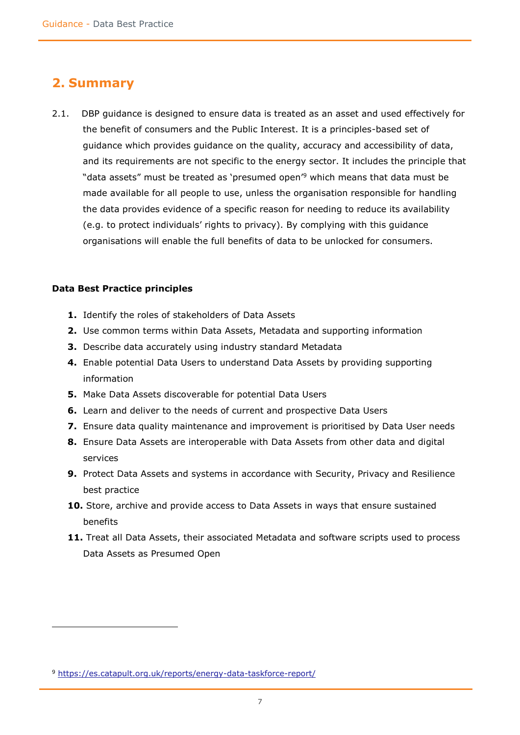### <span id="page-6-0"></span>**2. Summary**

2.1. DBP guidance is designed to ensure data is treated as an asset and used effectively for the benefit of consumers and the Public Interest. It is a principles-based set of guidance which provides guidance on the quality, accuracy and accessibility of data, and its requirements are not specific to the energy sector. It includes the principle that "data assets" must be treated as 'presumed open'<sup>9</sup> which means that data must be made available for all people to use, unless the organisation responsible for handling the data provides evidence of a specific reason for needing to reduce its availability (e.g. to protect individuals' rights to privacy). By complying with this guidance organisations will enable the full benefits of data to be unlocked for consumers.

#### <span id="page-6-1"></span>**Data Best Practice principles**

 $\overline{a}$ 

- **1.** Identify the roles of stakeholders of Data Assets
- **2.** Use common terms within Data Assets, Metadata and supporting information
- **3.** Describe data accurately using industry standard Metadata
- **4.** Enable potential Data Users to understand Data Assets by providing supporting information
- **5.** Make Data Assets discoverable for potential Data Users
- **6.** Learn and deliver to the needs of current and prospective Data Users
- **7.** Ensure data quality maintenance and improvement is prioritised by Data User needs
- **8.** Ensure Data Assets are interoperable with Data Assets from other data and digital services
- **9.** Protect Data Assets and systems in accordance with Security, Privacy and Resilience best practice
- **10.** Store, archive and provide access to Data Assets in ways that ensure sustained benefits
- <span id="page-6-2"></span>**11.** Treat all Data Assets, their associated Metadata and software scripts used to process Data Assets as Presumed Open

<sup>9</sup> <https://es.catapult.org.uk/reports/energy-data-taskforce-report/>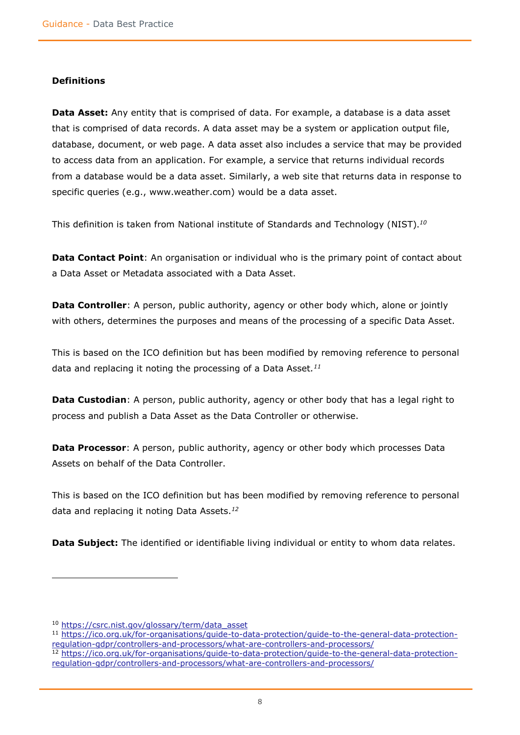#### **Definitions**

**Data Asset:** Any entity that is comprised of data. For example, a database is a data asset that is comprised of data records. A data asset may be a system or application output file, database, document, or web page. A data asset also includes a service that may be provided to access data from an application. For example, a service that returns individual records from a database would be a data asset. Similarly, a web site that returns data in response to specific queries (e.g., www.weather.com) would be a data asset.

This definition is taken from National institute of Standards and Technology (NIST). *10*

**Data Contact Point:** An organisation or individual who is the primary point of contact about a Data Asset or Metadata associated with a Data Asset.

**Data Controller**: A person, public authority, agency or other body which, alone or jointly with others, determines the purposes and means of the processing of a specific Data Asset.

This is based on the ICO definition but has been modified by removing reference to personal data and replacing it noting the processing of a Data Asset*. 11*

**Data Custodian**: A person, public authority, agency or other body that has a legal right to process and publish a Data Asset as the Data Controller or otherwise.

**Data Processor**: A person, public authority, agency or other body which processes Data Assets on behalf of the Data Controller.

This is based on the ICO definition but has been modified by removing reference to personal data and replacing it noting Data Assets. *12*

**Data Subject:** The identified or identifiable living individual or entity to whom data relates.

 $\overline{a}$ 

<sup>10</sup> [https://csrc.nist.gov/glossary/term/data\\_asset](https://csrc.nist.gov/glossary/term/data_asset)

<sup>11</sup> [https://ico.org.uk/for-organisations/guide-to-data-protection/guide-to-the-general-data-protection](https://ico.org.uk/for-organisations/guide-to-data-protection/guide-to-the-general-data-protection-regulation-gdpr/controllers-and-processors/what-are-controllers-and-processors/)[regulation-gdpr/controllers-and-processors/what-are-controllers-and-processors/](https://ico.org.uk/for-organisations/guide-to-data-protection/guide-to-the-general-data-protection-regulation-gdpr/controllers-and-processors/what-are-controllers-and-processors/)

<sup>12</sup> [https://ico.org.uk/for-organisations/guide-to-data-protection/guide-to-the-general-data-protection](https://ico.org.uk/for-organisations/guide-to-data-protection/guide-to-the-general-data-protection-regulation-gdpr/controllers-and-processors/what-are-controllers-and-processors/)[regulation-gdpr/controllers-and-processors/what-are-controllers-and-processors/](https://ico.org.uk/for-organisations/guide-to-data-protection/guide-to-the-general-data-protection-regulation-gdpr/controllers-and-processors/what-are-controllers-and-processors/)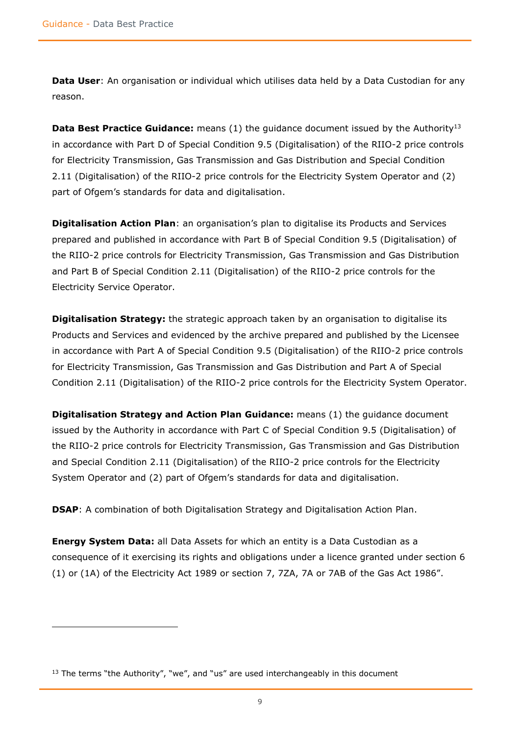$\overline{a}$ 

**Data User:** An organisation or individual which utilises data held by a Data Custodian for any reason.

**Data Best Practice Guidance:** means (1) the guidance document issued by the Authority<sup>13</sup> in accordance with Part D of Special Condition 9.5 (Digitalisation) of the RIIO-2 price controls for Electricity Transmission, Gas Transmission and Gas Distribution and Special Condition 2.11 (Digitalisation) of the RIIO-2 price controls for the Electricity System Operator and (2) part of Ofgem's standards for data and digitalisation.

**Digitalisation Action Plan**: an organisation's plan to digitalise its Products and Services prepared and published in accordance with Part B of Special Condition 9.5 (Digitalisation) of the RIIO-2 price controls for Electricity Transmission, Gas Transmission and Gas Distribution and Part B of Special Condition 2.11 (Digitalisation) of the RIIO-2 price controls for the Electricity Service Operator.

**Digitalisation Strategy:** the strategic approach taken by an organisation to digitalise its Products and Services and evidenced by the archive prepared and published by the Licensee in accordance with Part A of Special Condition 9.5 (Digitalisation) of the RIIO-2 price controls for Electricity Transmission, Gas Transmission and Gas Distribution and Part A of Special Condition 2.11 (Digitalisation) of the RIIO-2 price controls for the Electricity System Operator.

**Digitalisation Strategy and Action Plan Guidance:** means (1) the guidance document issued by the Authority in accordance with Part C of Special Condition 9.5 (Digitalisation) of the RIIO-2 price controls for Electricity Transmission, Gas Transmission and Gas Distribution and Special Condition 2.11 (Digitalisation) of the RIIO-2 price controls for the Electricity System Operator and (2) part of Ofgem's standards for data and digitalisation.

**DSAP**: A combination of both Digitalisation Strategy and Digitalisation Action Plan.

**Energy System Data:** all Data Assets for which an entity is a Data Custodian as a consequence of it exercising its rights and obligations under a licence granted under section 6 (1) or (1A) of the Electricity Act 1989 or section 7, 7ZA, 7A or 7AB of the Gas Act 1986".

 $13$  The terms "the Authority", "we", and "us" are used interchangeably in this document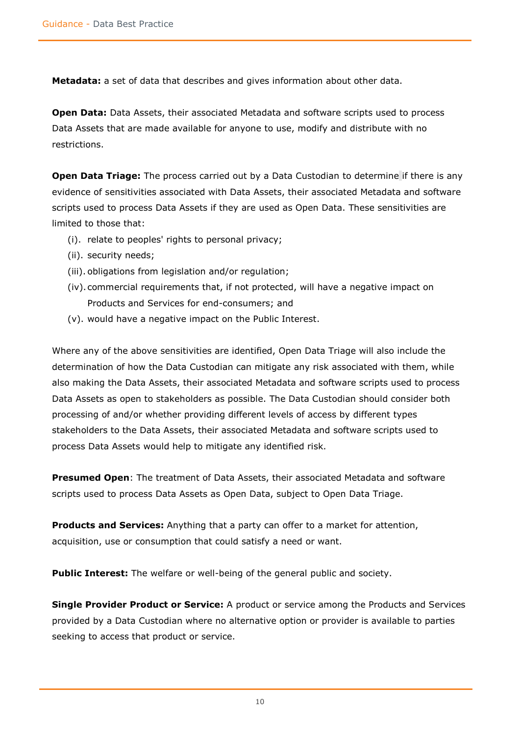**Metadata:** a set of data that describes and gives information about other data.

**Open Data:** Data Assets, their associated Metadata and software scripts used to process Data Assets that are made available for anyone to use, modify and distribute with no restrictions.

**Open Data Triage:** The process carried out by a Data Custodian to determine if there is any evidence of sensitivities associated with Data Assets, their associated Metadata and software scripts used to process Data Assets if they are used as Open Data. These sensitivities are limited to those that:

- (i). relate to peoples' rights to personal privacy;
- (ii). security needs;
- (iii). obligations from legislation and/or regulation;
- (iv).commercial requirements that, if not protected, will have a negative impact on Products and Services for end-consumers; and
- (v). would have a negative impact on the Public Interest.

Where any of the above sensitivities are identified, Open Data Triage will also include the determination of how the Data Custodian can mitigate any risk associated with them, while also making the Data Assets, their associated Metadata and software scripts used to process Data Assets as open to stakeholders as possible. The Data Custodian should consider both processing of and/or whether providing different levels of access by different types stakeholders to the Data Assets, their associated Metadata and software scripts used to process Data Assets would help to mitigate any identified risk.

**Presumed Open**: The treatment of Data Assets, their associated Metadata and software scripts used to process Data Assets as Open Data, subject to Open Data Triage.

**Products and Services:** Anything that a party can offer to a market for attention, acquisition, use or consumption that could satisfy a need or want.

**Public Interest:** The welfare or well-being of the general public and society.

**Single Provider Product or Service:** A product or service among the Products and Services provided by a Data Custodian where no alternative option or provider is available to parties seeking to access that product or service.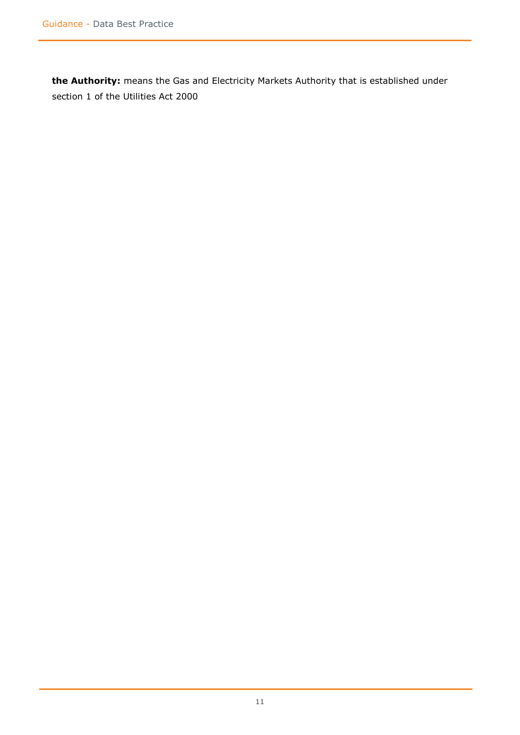**the Authority:** means the Gas and Electricity Markets Authority that is established under section 1 of the Utilities Act 2000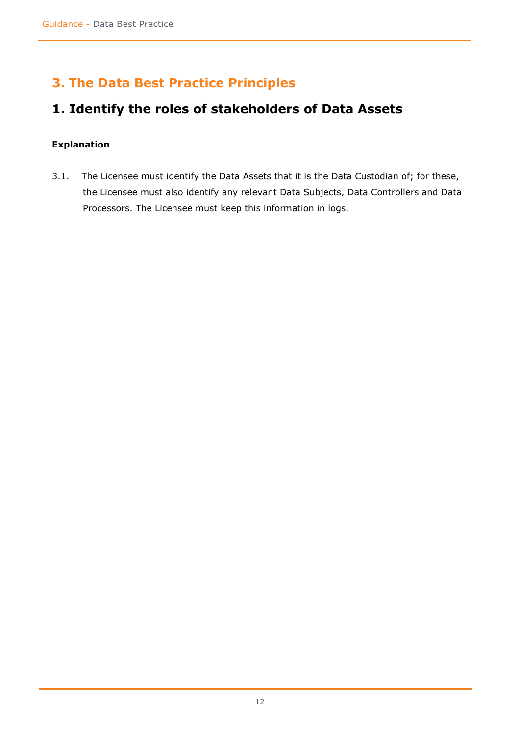### <span id="page-11-0"></span>**3. The Data Best Practice Principles**

### <span id="page-11-1"></span>**1. Identify the roles of stakeholders of Data Assets**

#### <span id="page-11-2"></span>**Explanation**

3.1. The Licensee must identify the Data Assets that it is the Data Custodian of; for these, the Licensee must also identify any relevant Data Subjects, Data Controllers and Data Processors. The Licensee must keep this information in logs.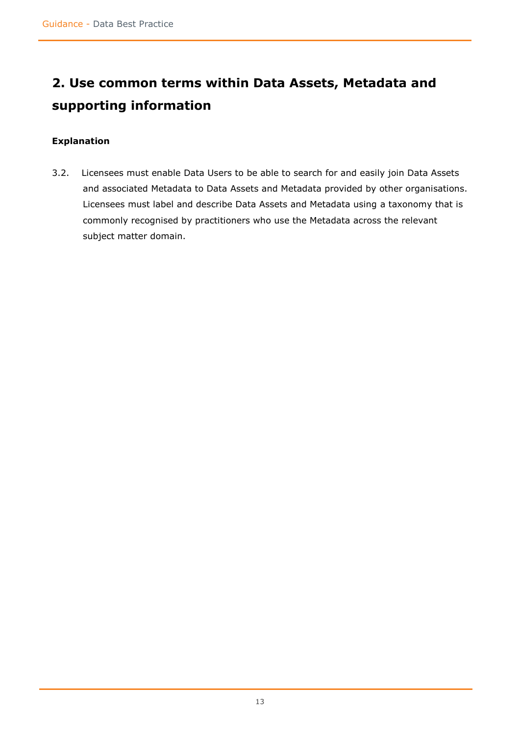# <span id="page-12-0"></span>**2. Use common terms within Data Assets, Metadata and supporting information**

### <span id="page-12-1"></span>**Explanation**

3.2. Licensees must enable Data Users to be able to search for and easily join Data Assets and associated Metadata to Data Assets and Metadata provided by other organisations. Licensees must label and describe Data Assets and Metadata using a taxonomy that is commonly recognised by practitioners who use the Metadata across the relevant subject matter domain.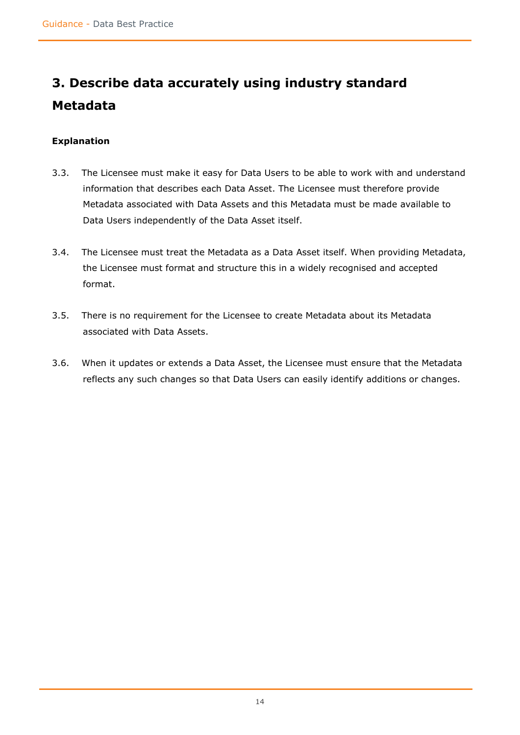# <span id="page-13-0"></span>**3. Describe data accurately using industry standard Metadata**

- <span id="page-13-1"></span>3.3. The Licensee must make it easy for Data Users to be able to work with and understand information that describes each Data Asset. The Licensee must therefore provide Metadata associated with Data Assets and this Metadata must be made available to Data Users independently of the Data Asset itself.
- 3.4. The Licensee must treat the Metadata as a Data Asset itself. When providing Metadata, the Licensee must format and structure this in a widely recognised and accepted format.
- 3.5. There is no requirement for the Licensee to create Metadata about its Metadata associated with Data Assets.
- 3.6. When it updates or extends a Data Asset, the Licensee must ensure that the Metadata reflects any such changes so that Data Users can easily identify additions or changes.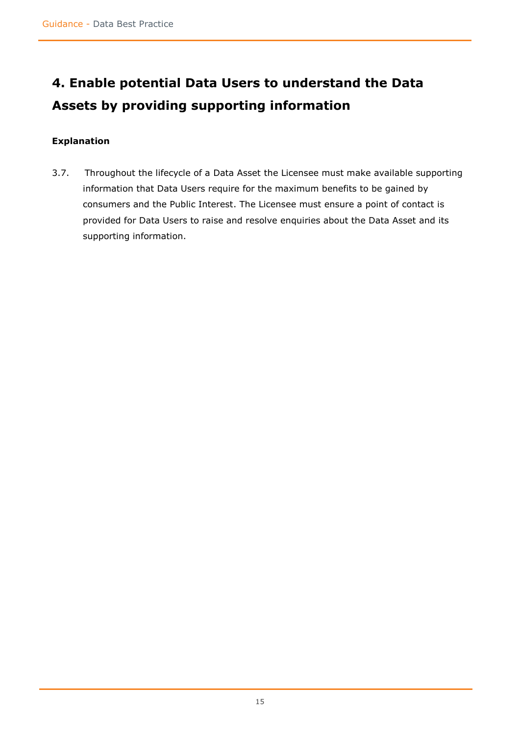# <span id="page-14-0"></span>**4. Enable potential Data Users to understand the Data Assets by providing supporting information**

### <span id="page-14-1"></span>**Explanation**

3.7. Throughout the lifecycle of a Data Asset the Licensee must make available supporting information that Data Users require for the maximum benefits to be gained by consumers and the Public Interest. The Licensee must ensure a point of contact is provided for Data Users to raise and resolve enquiries about the Data Asset and its supporting information.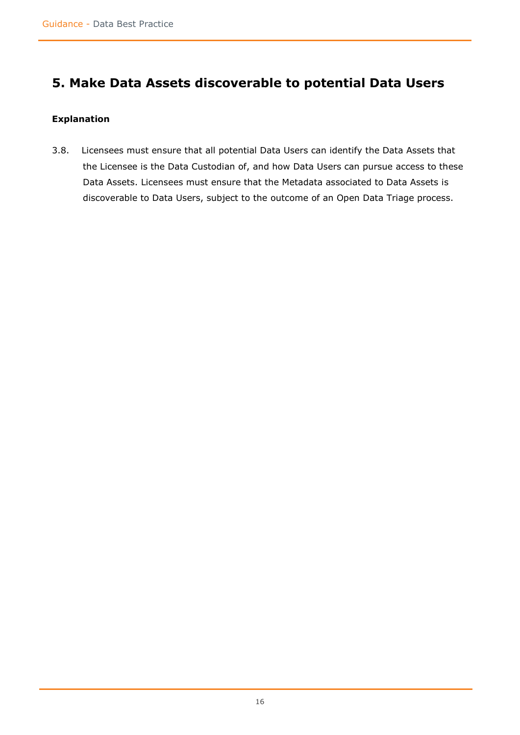### <span id="page-15-0"></span>**5. Make Data Assets discoverable to potential Data Users**

#### <span id="page-15-1"></span>**Explanation**

<span id="page-15-2"></span>3.8. Licensees must ensure that all potential Data Users can identify the Data Assets that the Licensee is the Data Custodian of, and how Data Users can pursue access to these Data Assets. Licensees must ensure that the Metadata associated to Data Assets is discoverable to Data Users, subject to the outcome of an Open Data Triage process.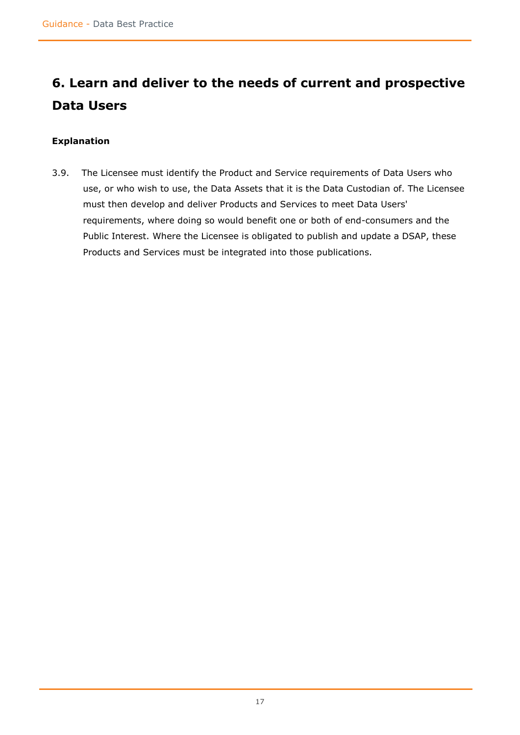# **6. Learn and deliver to the needs of current and prospective Data Users**

### <span id="page-16-0"></span>**Explanation**

3.9. The Licensee must identify the Product and Service requirements of Data Users who use, or who wish to use, the Data Assets that it is the Data Custodian of. The Licensee must then develop and deliver Products and Services to meet Data Users' requirements, where doing so would benefit one or both of end-consumers and the Public Interest. Where the Licensee is obligated to publish and update a DSAP, these Products and Services must be integrated into those publications.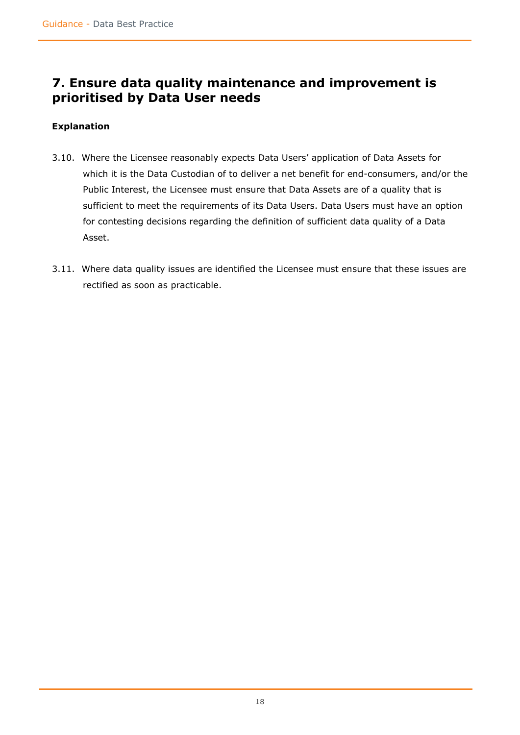### <span id="page-17-0"></span>**7. Ensure data quality maintenance and improvement is prioritised by Data User needs**

- <span id="page-17-1"></span>3.10. Where the Licensee reasonably expects Data Users' application of Data Assets for which it is the Data Custodian of to deliver a net benefit for end-consumers, and/or the Public Interest, the Licensee must ensure that Data Assets are of a quality that is sufficient to meet the requirements of its Data Users. Data Users must have an option for contesting decisions regarding the definition of sufficient data quality of a Data Asset.
- 3.11. Where data quality issues are identified the Licensee must ensure that these issues are rectified as soon as practicable.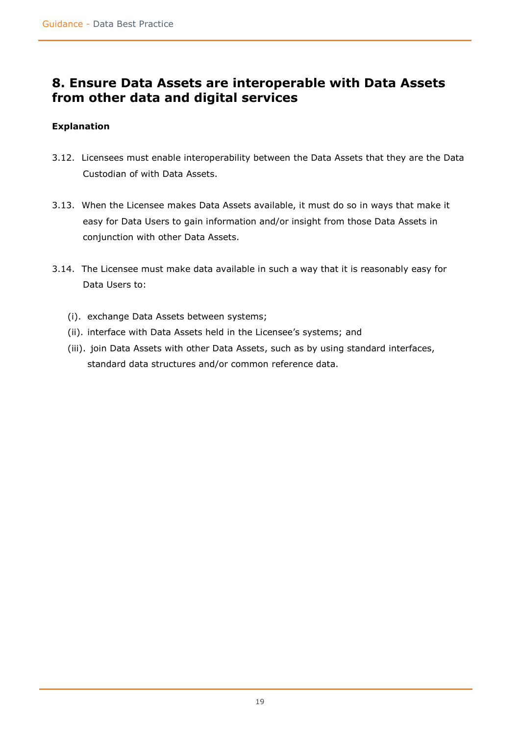### <span id="page-18-0"></span>**8. Ensure Data Assets are interoperable with Data Assets from other data and digital services**

- <span id="page-18-1"></span>3.12. Licensees must enable interoperability between the Data Assets that they are the Data Custodian of with Data Assets.
- 3.13. When the Licensee makes Data Assets available, it must do so in ways that make it easy for Data Users to gain information and/or insight from those Data Assets in conjunction with other Data Assets.
- 3.14. The Licensee must make data available in such a way that it is reasonably easy for Data Users to:
	- (i). exchange Data Assets between systems;
	- (ii). interface with Data Assets held in the Licensee's systems; and
	- (iii). join Data Assets with other Data Assets, such as by using standard interfaces, standard data structures and/or common reference data.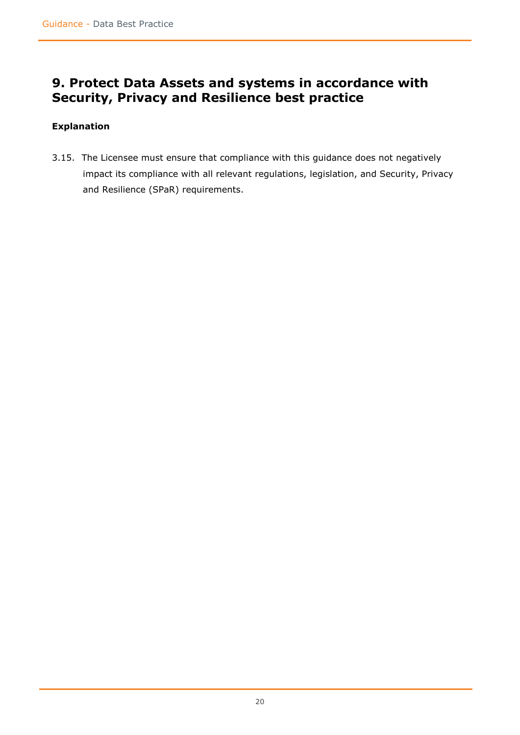### <span id="page-19-0"></span>**9. Protect Data Assets and systems in accordance with Security, Privacy and Resilience best practice**

### <span id="page-19-1"></span>**Explanation**

3.15. The Licensee must ensure that compliance with this guidance does not negatively impact its compliance with all relevant regulations, legislation, and Security, Privacy and Resilience (SPaR) requirements.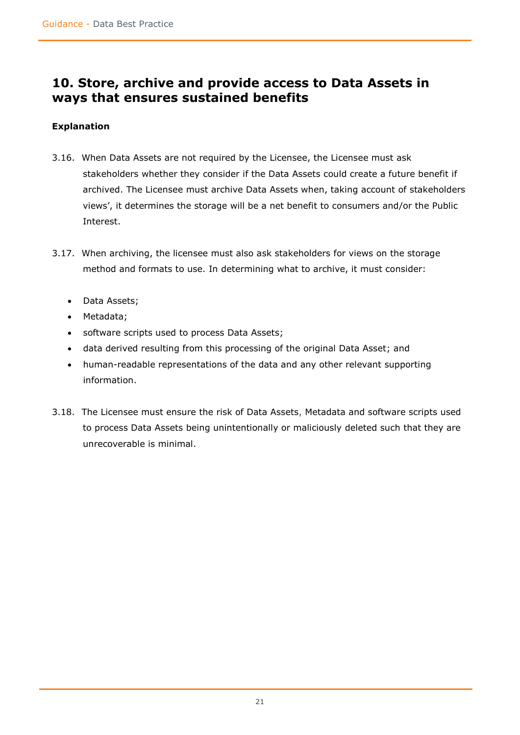### <span id="page-20-0"></span>**10. Store, archive and provide access to Data Assets in ways that ensures sustained benefits**

- <span id="page-20-1"></span>3.16. When Data Assets are not required by the Licensee, the Licensee must ask stakeholders whether they consider if the Data Assets could create a future benefit if archived. The Licensee must archive Data Assets when, taking account of stakeholders views', it determines the storage will be a net benefit to consumers and/or the Public Interest.
- 3.17. When archiving, the licensee must also ask stakeholders for views on the storage method and formats to use. In determining what to archive, it must consider:
	- Data Assets;
	- Metadata;
	- software scripts used to process Data Assets;
	- data derived resulting from this processing of the original Data Asset; and
	- human-readable representations of the data and any other relevant supporting information.
- <span id="page-20-2"></span>3.18. The Licensee must ensure the risk of Data Assets, Metadata and software scripts used to process Data Assets being unintentionally or maliciously deleted such that they are unrecoverable is minimal.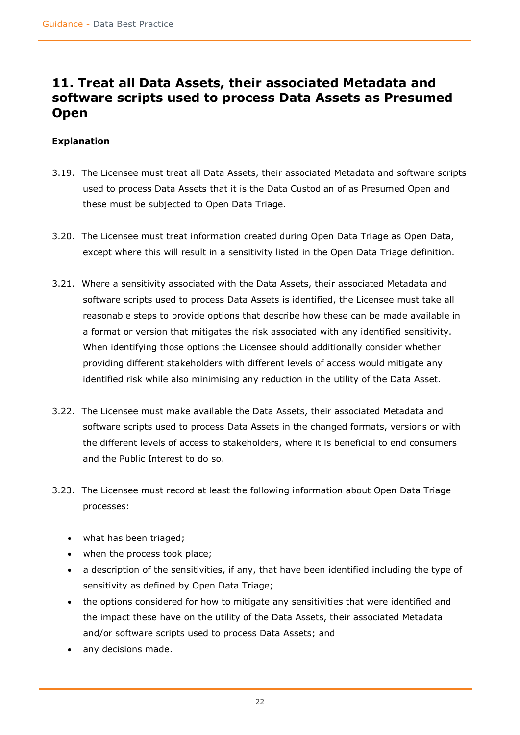### **11. Treat all Data Assets, their associated Metadata and software scripts used to process Data Assets as Presumed Open**

- <span id="page-21-0"></span>3.19. The Licensee must treat all Data Assets, their associated Metadata and software scripts used to process Data Assets that it is the Data Custodian of as Presumed Open and these must be subjected to Open Data Triage.
- 3.20. The Licensee must treat information created during Open Data Triage as Open Data, except where this will result in a sensitivity listed in the Open Data Triage definition.
- 3.21. Where a sensitivity associated with the Data Assets, their associated Metadata and software scripts used to process Data Assets is identified, the Licensee must take all reasonable steps to provide options that describe how these can be made available in a format or version that mitigates the risk associated with any identified sensitivity. When identifying those options the Licensee should additionally consider whether providing different stakeholders with different levels of access would mitigate any identified risk while also minimising any reduction in the utility of the Data Asset.
- 3.22. The Licensee must make available the Data Assets, their associated Metadata and software scripts used to process Data Assets in the changed formats, versions or with the different levels of access to stakeholders, where it is beneficial to end consumers and the Public Interest to do so.
- 3.23. The Licensee must record at least the following information about Open Data Triage processes:
	- what has been triaged;
	- when the process took place;
	- a description of the sensitivities, if any, that have been identified including the type of sensitivity as defined by Open Data Triage;
	- the options considered for how to mitigate any sensitivities that were identified and the impact these have on the utility of the Data Assets, their associated Metadata and/or software scripts used to process Data Assets; and
	- any decisions made.